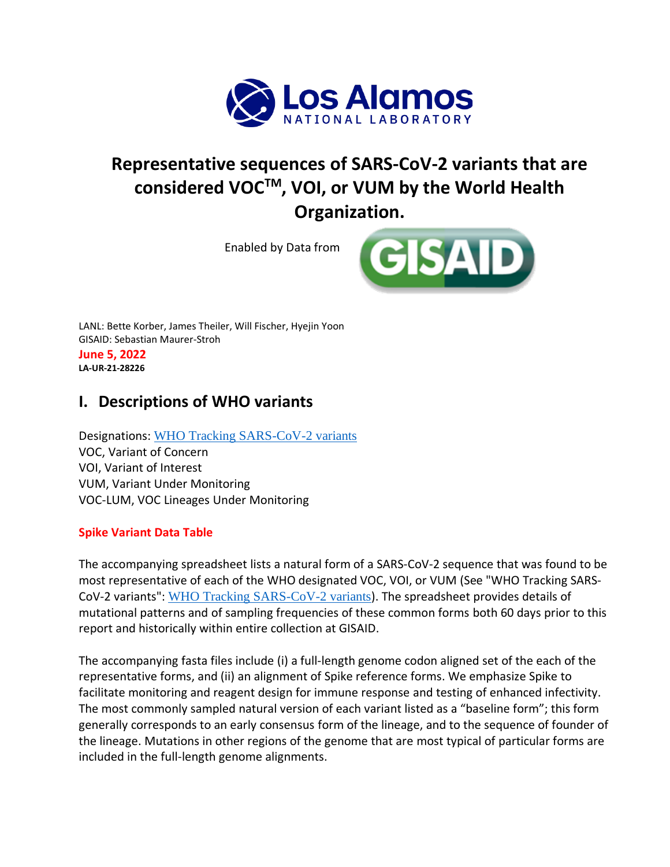

# **Representative sequences of SARS-CoV-2 variants that are considered VOCTM, VOI, or VUM by the World Health Organization.**

Enabled by Data from



LANL: Bette Korber, James Theiler, Will Fischer, Hyejin Yoon GISAID: Sebastian Maurer-Stroh **June 5, 2022 LA-UR-21-28226**

## **I. Descriptions of WHO variants**

Designations: [WHO Tracking SARS-CoV-2 variants](https://www.who.int/en/activities/tracking-SARS-CoV-2-variants/) VOC, Variant of Concern VOI, Variant of Interest VUM, Variant Under Monitoring VOC-LUM, VOC Lineages Under Monitoring

#### **Spike Variant Data Table**

The accompanying spreadsheet lists a natural form of a SARS-CoV-2 sequence that was found to be most representative of each of the WHO designated VOC, VOI, or VUM (See "WHO Tracking SARS-CoV-2 variants": [WHO Tracking SARS-CoV-2 variants](https://www.who.int/en/activities/tracking-SARS-CoV-2-variants/)). The spreadsheet provides details of mutational patterns and of sampling frequencies of these common forms both 60 days prior to this report and historically within entire collection at GISAID.

The accompanying fasta files include (i) a full-length genome codon aligned set of the each of the representative forms, and (ii) an alignment of Spike reference forms. We emphasize Spike to facilitate monitoring and reagent design for immune response and testing of enhanced infectivity. The most commonly sampled natural version of each variant listed as a "baseline form"; this form generally corresponds to an early consensus form of the lineage, and to the sequence of founder of the lineage. Mutations in other regions of the genome that are most typical of particular forms are included in the full-length genome alignments.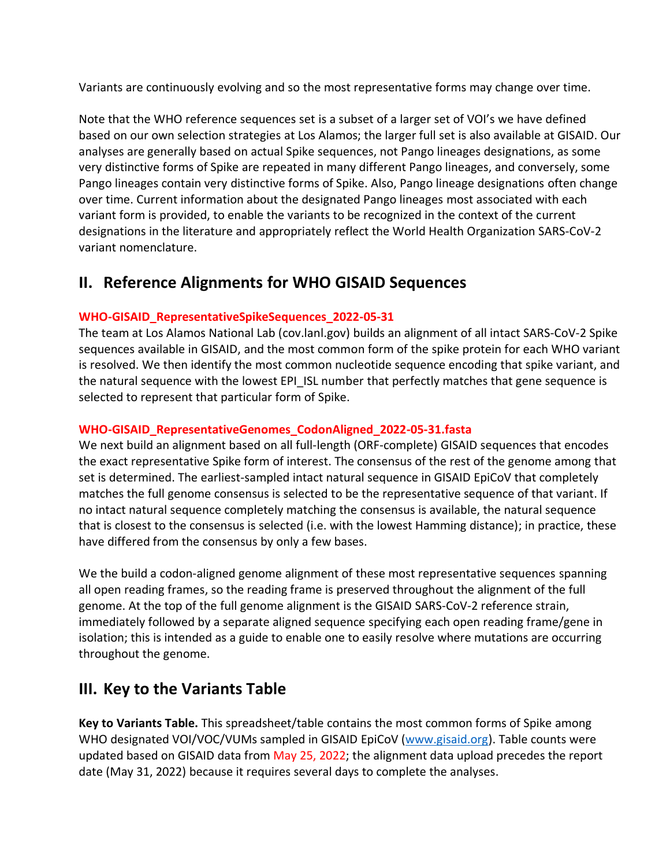Variants are continuously evolving and so the most representative forms may change over time.

Note that the WHO reference sequences set is a subset of a larger set of VOI's we have defined based on our own selection strategies at Los Alamos; the larger full set is also available at GISAID. Our analyses are generally based on actual Spike sequences, not Pango lineages designations, as some very distinctive forms of Spike are repeated in many different Pango lineages, and conversely, some Pango lineages contain very distinctive forms of Spike. Also, Pango lineage designations often change over time. Current information about the designated Pango lineages most associated with each variant form is provided, to enable the variants to be recognized in the context of the current designations in the literature and appropriately reflect the World Health Organization SARS-CoV-2 variant nomenclature.

### **II. Reference Alignments for WHO GISAID Sequences**

#### **WHO-GISAID\_RepresentativeSpikeSequences\_2022-05-31**

The team at Los Alamos National Lab (cov.lanl.gov) builds an alignment of all intact SARS-CoV-2 Spike sequences available in GISAID, and the most common form of the spike protein for each WHO variant is resolved. We then identify the most common nucleotide sequence encoding that spike variant, and the natural sequence with the lowest EPI ISL number that perfectly matches that gene sequence is selected to represent that particular form of Spike.

#### **WHO-GISAID\_RepresentativeGenomes\_CodonAligned\_2022-05-31.fasta**

We next build an alignment based on all full-length (ORF-complete) GISAID sequences that encodes the exact representative Spike form of interest. The consensus of the rest of the genome among that set is determined. The earliest-sampled intact natural sequence in GISAID EpiCoV that completely matches the full genome consensus is selected to be the representative sequence of that variant. If no intact natural sequence completely matching the consensus is available, the natural sequence that is closest to the consensus is selected (i.e. with the lowest Hamming distance); in practice, these have differed from the consensus by only a few bases.

We the build a codon-aligned genome alignment of these most representative sequences spanning all open reading frames, so the reading frame is preserved throughout the alignment of the full genome. At the top of the full genome alignment is the GISAID SARS-CoV-2 reference strain, immediately followed by a separate aligned sequence specifying each open reading frame/gene in isolation; this is intended as a guide to enable one to easily resolve where mutations are occurring throughout the genome.

### **III. Key to the Variants Table**

**Key to Variants Table.** This spreadsheet/table contains the most common forms of Spike among WHO designated VOI/VOC/VUMs sampled in GISAID EpiCoV [\(www.gisaid.org\)](https://www.gisaid.org/). Table counts were updated based on GISAID data from May 25, 2022; the alignment data upload precedes the report date (May 31, 2022) because it requires several days to complete the analyses.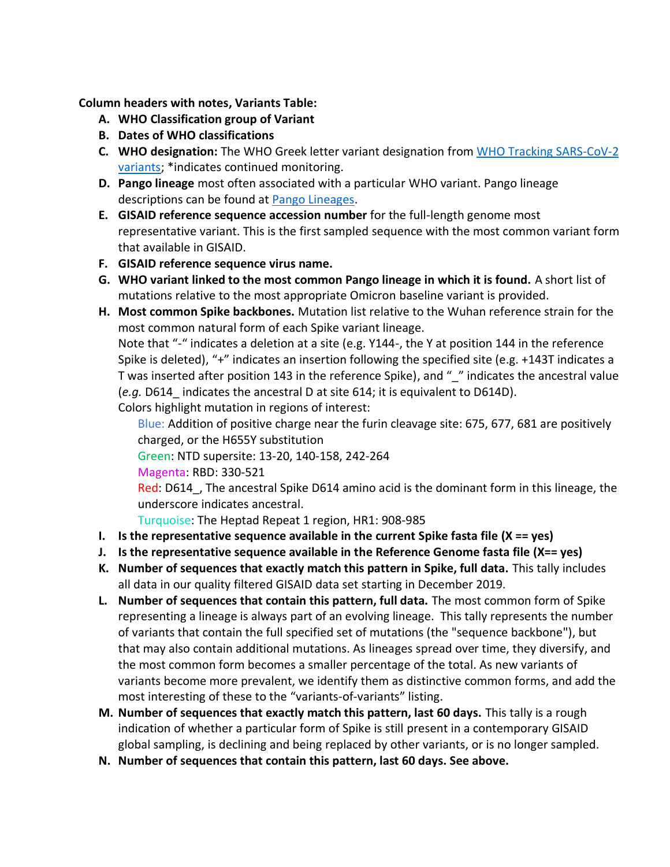**Column headers with notes, Variants Table:**

- **A. WHO Classification group of Variant**
- **B. Dates of WHO classifications**
- **C. WHO designation:** The WHO Greek letter variant designation from [WHO Tracking SARS-CoV-2](https://www.who.int/en/activities/tracking-SARS-CoV-2-variants/)  [variants;](https://www.who.int/en/activities/tracking-SARS-CoV-2-variants/) \*indicates continued monitoring.
- **D. Pango lineage** most often associated with a particular WHO variant. Pango lineage descriptions can be found at [Pango Lineages.](https://cov-lineages.org/)
- **E. GISAID reference sequence accession number** for the full-length genome most representative variant. This is the first sampled sequence with the most common variant form that available in GISAID.
- **F. GISAID reference sequence virus name.**
- **G. WHO variant linked to the most common Pango lineage in which it is found.** A short list of mutations relative to the most appropriate Omicron baseline variant is provided.
- **H. Most common Spike backbones.** Mutation list relative to the Wuhan reference strain for the most common natural form of each Spike variant lineage.

Note that "-" indicates a deletion at a site (e.g. Y144-, the Y at position 144 in the reference Spike is deleted), "+" indicates an insertion following the specified site (e.g. +143T indicates a T was inserted after position 143 in the reference Spike), and " " indicates the ancestral value (*e.g.* D614\_ indicates the ancestral D at site 614; it is equivalent to D614D).

Colors highlight mutation in regions of interest:

Blue: Addition of positive charge near the furin cleavage site: 675, 677, 681 are positively charged, or the H655Y substitution

Green: NTD supersite: 13-20, 140-158, 242-264

Magenta: RBD: 330-521

Red: D614, The ancestral Spike D614 amino acid is the dominant form in this lineage, the underscore indicates ancestral.

Turquoise: The Heptad Repeat 1 region, HR1: 908-985

- **I. Is the representative sequence available in the current Spike fasta file (X == yes)**
- **J. Is the representative sequence available in the Reference Genome fasta file (X== yes)**
- **K. Number of sequences that exactly match this pattern in Spike, full data.** This tally includes all data in our quality filtered GISAID data set starting in December 2019.
- **L. Number of sequences that contain this pattern, full data.** The most common form of Spike representing a lineage is always part of an evolving lineage. This tally represents the number of variants that contain the full specified set of mutations (the "sequence backbone"), but that may also contain additional mutations. As lineages spread over time, they diversify, and the most common form becomes a smaller percentage of the total. As new variants of variants become more prevalent, we identify them as distinctive common forms, and add the most interesting of these to the "variants-of-variants" listing.
- **M. Number of sequences that exactly match this pattern, last 60 days.** This tally is a rough indication of whether a particular form of Spike is still present in a contemporary GISAID global sampling, is declining and being replaced by other variants, or is no longer sampled.
- **N. Number of sequences that contain this pattern, last 60 days. See above.**